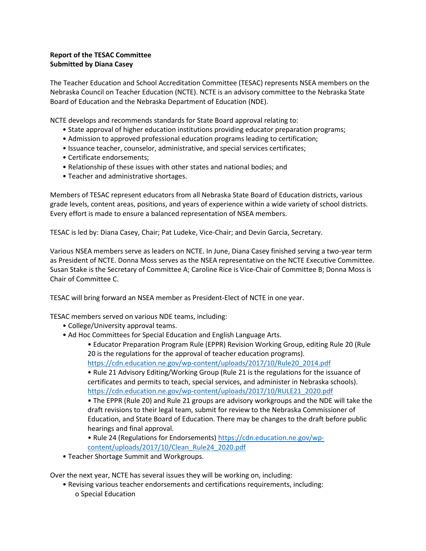## **Report of the TESAC Committee Submitted by Diana Casey**

The Teacher Education and School Accreditation Committee (TESAC) represents NSEA members on the Nebraska Council on Teacher Education (NCTE). NCTE is an advisory committee to the Nebraska State Board of Education and the Nebraska Department of Education (NDE).

NCTE develops and recommends standards for State Board approval relating to:

- State approval of higher education institutions providing educator preparation programs;
- Admission to approved professional education programs leading to certification;
- Issuance teacher, counselor, administrative, and special services certificates;
- Certificate endorsements;
- Relationship of these issues with other states and national bodies; and
- Teacher and administrative shortages.

Members of TESAC represent educators from all Nebraska State Board of Education districts, various grade levels, content areas, positions, and years of experience within a wide variety of school districts. Every effort is made to ensure a balanced representation of NSEA members.

TESAC is led by: Diana Casey, Chair; Pat Ludeke, Vice-Chair; and Devin Garcia, Secretary.

Various NSEA members serve as leaders on NCTE. In June, Diana Casey finished serving a two-year term as President of NCTE. Donna Moss serves as the NSEA representative on the NCTE Executive Committee. Susan Stake is the Secretary of Committee A; Caroline Rice is Vice-Chair of Committee B; Donna Moss is Chair of Committee C.

TESAC will bring forward an NSEA member as President-Elect of NCTE in one year.

TESAC members served on various NDE teams, including:

- College/University approval teams.
- Ad Hoc Committees for Special Education and English Language Arts.
	- Educator Preparation Program Rule (EPPR) Revision Working Group, editing Rule 20 (Rule 20 is the regulations for the approval of teacher education programs).

[https://cdn.education.ne.gov/wp-content/uploads/2017/10/Rule20\\_2014.pdf](https://cdn.education.ne.gov/wp-content/uploads/2017/10/Rule20_2014.pdf)

• Rule 21 Advisory Editing/Working Group (Rule 21 is the regulations for the issuance of certificates and permits to teach, special services, and administer in Nebraska schools). [https://cdn.education.ne.gov/wp-content/uploads/2017/10/RULE21\\_2020.pdf](https://cdn.education.ne.gov/wp-content/uploads/2017/10/RULE21_2020.pdf)

• The EPPR (Rule 20) and Rule 21 groups are advisory workgroups and the NDE will take the draft revisions to their legal team, submit for review to the Nebraska Commissioner of Education, and State Board of Education. There may be changes to the draft before public hearings and final approval.

• Rule 24 (Regulations for Endorsements[\) https://cdn.education.ne.gov/wp-](https://cdn.education.ne.gov/wp-content/uploads/2017/10/Clean_Rule24_2020.pdf)

- [content/uploads/2017/10/Clean\\_Rule24\\_2020.pdf](https://cdn.education.ne.gov/wp-content/uploads/2017/10/Clean_Rule24_2020.pdf)
- Teacher Shortage Summit and Workgroups.

Over the next year, NCTE has several issues they will be working on, including:

• Revising various teacher endorsements and certifications requirements, including: o Special Education